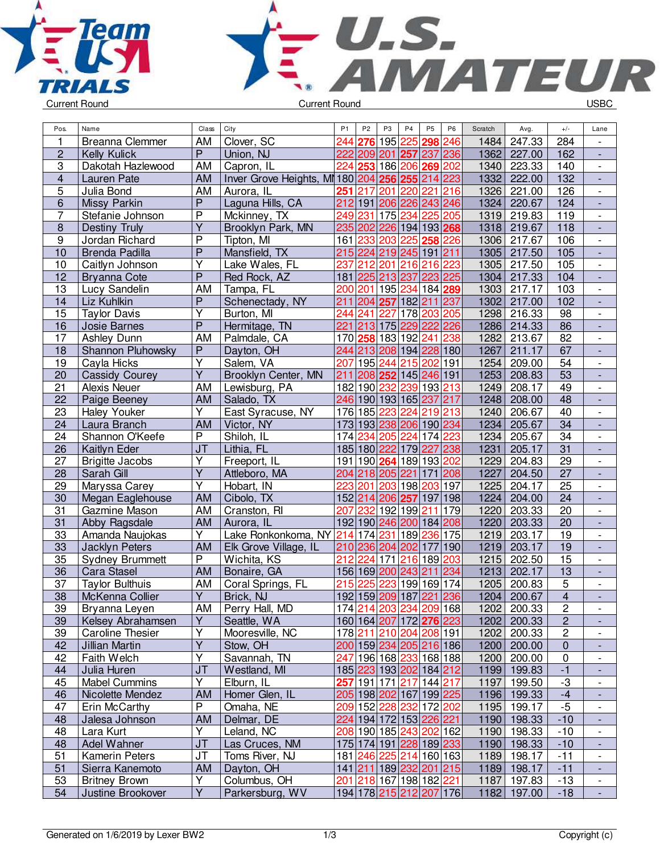



| Pos.           | Name                   | Class                   | City                                            | P <sub>1</sub>   | P <sub>2</sub> | P <sub>3</sub> | P4                                             | P <sub>5</sub> | P <sub>6</sub> | Scratch | Avg.        | $+/-$           | Lane                     |
|----------------|------------------------|-------------------------|-------------------------------------------------|------------------|----------------|----------------|------------------------------------------------|----------------|----------------|---------|-------------|-----------------|--------------------------|
| 1              | Breanna Clemmer        | AM                      | Clover, SC                                      | 244              | 276            |                | 195 225                                        | 298 246        |                | 1484    | 247.33      | 284             |                          |
| $\overline{c}$ | <b>Kelly Kulick</b>    | $\overline{P}$          | Union, NJ                                       |                  |                |                | 222 209 201 257 237 236                        |                |                | 1362    | 227.00      | 162             | $\blacksquare$           |
| $\overline{3}$ | Dakotah Hazlewood      | AM                      | Capron, IL                                      |                  |                |                | 224 253 186 206 269 202                        |                |                | 1340    | 223.33      | 140             | $\blacksquare$           |
| 4              | Lauren Pate            | AM                      | Inver Grove Heights, MI 180 204 256 255 214 223 |                  |                |                |                                                |                |                | 1332    | 222.00      | 132             | $\blacksquare$           |
| 5              | Julia Bond             | AM                      | Aurora, IL                                      | 251              | 217            |                | 201 220 221 216                                |                |                | 1326    | 221.00      | 126             | $\overline{\phantom{a}}$ |
| 6              | Missy Parkin           | $\overline{P}$          | Laguna Hills, CA                                |                  |                |                | 212 191 206 226 243 246                        |                |                | 1324    | 220.67      | 124             | $\overline{\phantom{a}}$ |
| 7              | Stefanie Johnson       | $\overline{P}$          | Mckinney, TX                                    | 249              | 231            |                | 175 234                                        |                | 225 205        | 1319    | 219.83      | 119             | $\overline{\phantom{a}}$ |
| $\overline{8}$ | Destiny Truly          | $\overline{Y}$          | Brooklyn Park, MN                               |                  |                |                | 235 202 226 194 193 268                        |                |                | 1318    | 219.67      | 118             |                          |
| $\overline{9}$ | Jordan Richard         | $\overline{P}$          | Tipton, MI                                      |                  |                |                | 161 233 203 225 258 226                        |                |                | 1306    | 217.67      | 106             | $\overline{\phantom{a}}$ |
| 10             | Brenda Padilla         | $\overline{P}$          | Mansfield, TX                                   |                  |                |                | 215 224 219 245 191 211                        |                |                | 1305    | 217.50      | 105             | $\blacksquare$           |
| 10             | Caitlyn Johnson        | $\overline{Y}$          | Lake Wales, FL                                  | 237              |                |                | 212 201 216 216 223                            |                |                | 1305    | 217.50      | 105             | $\overline{\phantom{a}}$ |
| 12             | <b>Bryanna Cote</b>    | $\overline{\mathsf{P}}$ | Red Rock, AZ                                    |                  |                |                | 181 225 213 237                                | 223 225        |                | 1304    | 217.33      | 104             | $\Box$                   |
| 13             | Lucy Sandelin          | AM                      | Tampa, FL                                       |                  |                |                | 200 201 195 234 184 289                        |                |                | 1303    | 217.17      | 103             | $\blacksquare$           |
| 14             | Liz Kuhlkin            | $\overline{P}$          | Schenectady, NY                                 | 211              |                |                | 204 257 182 211 237                            |                |                | 1302    | 217.00      | 102             | $\blacksquare$           |
| 15             | <b>Taylor Davis</b>    | Y                       | Burton, MI                                      | 244              | 241            | 227            |                                                | 178 203 205    |                | 1298    | 216.33      | 98              | $\overline{\phantom{a}}$ |
| 16             | Josie Barnes           | $\overline{P}$          | Hermitage, TN                                   | 221              |                |                | 213 175 229 222 226                            |                |                | 1286    | 214.33      | 86              | $\overline{\phantom{a}}$ |
| 17             | Ashley Dunn            | AM                      | Palmdale, CA                                    |                  |                |                | 170 258 183 192 241 238                        |                |                | 1282    | 213.67      | $\overline{82}$ | $\overline{\phantom{a}}$ |
| 18             | Shannon Pluhowsky      | $\mathsf{P}$            | Dayton, OH                                      |                  |                |                | 244 213 208 194 228 180                        |                |                | 1267    | 211.17      | 67              |                          |
| 19             | Cayla Hicks            | $\overline{Y}$          | Salem, VA                                       | 207              | 195 244        |                |                                                | 215 202 191    |                | 1254    | 209.00      | $\overline{54}$ | $\overline{\phantom{a}}$ |
| 20             | <b>Cassidy Courey</b>  | $\overline{\mathsf{Y}}$ | Brooklyn Center, MN                             | 211              |                |                | 208 252 145 246 191                            |                |                | 1253    | 208.83      | $\overline{53}$ |                          |
| 21             | Alexis Neuer           | AM                      | Lewisburg, PA                                   |                  | 182 190 232    |                | 239 193 213                                    |                |                | 1249    | 208.17      | 49              | $\overline{\phantom{a}}$ |
| 22             | Paige Beeney           | AM                      | Salado, TX                                      |                  |                |                | 246 190 193 165 237 217                        |                |                | 1248    | 208.00      | 48              | $\blacksquare$           |
| 23             | <b>Haley Youker</b>    | Y                       | East Syracuse, NY                               |                  | 176 185 223    |                | 224                                            | 219 213        |                | 1240    | 206.67      | 40              | $\overline{\phantom{a}}$ |
| 24             | Laura Branch           | AM                      | Victor, NY                                      |                  |                |                | 173 193 238 206 190 234                        |                |                | 1234    | 205.67      | 34              | $\overline{\phantom{a}}$ |
| 24             | Shannon O'Keefe        | $\overline{P}$          | Shiloh, IL                                      | 174              | 234            |                | 205 224                                        | 174 223        |                | 1234    | 205.67      | 34              | $\overline{\phantom{a}}$ |
| 26             | Kaitlyn Eder           | J <sub>T</sub>          | Lithia, FL                                      |                  |                |                | 185 180 222 179                                | 227 238        |                | 1231    | 205.17      | 31              |                          |
| 27             | <b>Brigitte Jacobs</b> | $\overline{Y}$          | Freeport, IL                                    |                  |                |                | 191 190 264 189 193 202                        |                |                | 1229    | 204.83      | 29              | $\overline{\phantom{a}}$ |
| 28             | Sarah Gill             | $\overline{\mathsf{Y}}$ | Attleboro, MA                                   |                  |                |                | 204 218 205 221                                | 171 208        |                | 1227    | 204.50      | 27              |                          |
| 29             | Maryssa Carey          | $\overline{\mathsf{Y}}$ | Hobart, IN                                      | 223              |                |                | 201 203 198                                    | 203 197        |                | 1225    | 204.17      | 25              | $\overline{\phantom{a}}$ |
| 30             | Megan Eaglehouse       | <b>AM</b>               | Cibolo, TX                                      |                  |                |                | 152 214 206 257                                | 197 198        |                | 1224    | 204.00      | $\overline{24}$ |                          |
| 31             | Gazmine Mason          | AM                      | Cranston, RI                                    | 207              |                |                | 232 192 199                                    | 211 179        |                | 1220    | 203.33      | 20              | $\overline{\phantom{a}}$ |
| 31             | Abby Ragsdale          | AM                      | Aurora, IL                                      |                  |                |                | 192 190 246 200 184 208                        |                |                | 1220    | 203.33      | 20              | ÷,                       |
| 33             | Amanda Naujokas        | Υ                       | Lake Ronkonkoma, NY                             |                  | 214 174 231    |                |                                                | 189 236 175    |                | 1219    | 203.17      | 19              | $\overline{\phantom{a}}$ |
| 33             | Jacklyn Peters         | AM                      | Elk Grove Village, IL                           |                  |                |                | 210 236 204 202 177                            |                | 190            | 1219    | 203.17      | 19              | $\frac{1}{2}$            |
| 35             | <b>Sydney Brummett</b> | P                       | Wichita, KS                                     | $\overline{212}$ |                |                | 224 171 216 189 203                            |                |                | 1215    | 202.50      | 15              | $\overline{\phantom{a}}$ |
| 36             | <b>Cara Stasel</b>     | <b>AM</b>               | Bonaire, GA                                     |                  |                |                | 156 169 200 243 211 234                        |                |                | 1213    | 202.17      | $\overline{13}$ |                          |
| 37             | <b>Taylor Bulthuis</b> | AM                      | Coral Springs, FL                               | 215              | 225            | 223            |                                                | 199 169 174    |                | 1205    | 200.83      | 5               |                          |
| 38             | McKenna Collier        | $\overline{Y}$          | Brick, NJ                                       |                  |                |                | 192 159 209 187 221 236                        |                |                | 1204    | 200.67      | $\overline{4}$  |                          |
| 39             | Bryanna Leyen          | AM                      | Perry Hall, MD                                  |                  |                |                | 174 214 203 234 209 168                        |                |                |         | 1202 200.33 | $\overline{2}$  | $\overline{\phantom{a}}$ |
| 39             | Kelsey Abrahamsen      | Υ                       | Seattle, WA                                     |                  |                |                | 160 164 207 172 276 223                        |                |                |         | 1202 200.33 | $\overline{2}$  |                          |
| 39             | Caroline Thesier       | Y                       | Mooresville, NC                                 |                  |                |                | 178 211 210 204 208 191                        |                |                | 1202    | 200.33      | $\overline{c}$  |                          |
| 42             | Jillian Martin         | $\overline{Y}$          | Stow, OH                                        |                  |                |                | 200 159 234 205 216 186                        |                |                |         | 1200 200.00 | 0               | $\overline{\phantom{a}}$ |
| 42             | Faith Welch            | Υ                       | Savannah, TN                                    | 247              |                |                | 196 168 233 168 188                            |                |                | 1200    | 200.00      | 0               | $\overline{\phantom{a}}$ |
| 44             | Julia Huren            | <b>JT</b>               | Westland, MI                                    |                  |                |                | 185 223 193 202 184 212                        |                |                |         | 1199 199.83 | $-1$            | $\overline{\phantom{a}}$ |
| 45             | <b>Mabel Cummins</b>   | Y                       | Elburn, IL                                      |                  |                |                | 257 191 171 217 144 217                        |                |                | 1197    | 199.50      | -3              | $\overline{\phantom{a}}$ |
| 46             | Nicolette Mendez       | <b>AM</b>               | Homer Glen, IL                                  |                  |                |                | 205 198 202 167 199 225                        |                |                |         | 1196 199.33 | $-4$            | $\overline{\phantom{a}}$ |
| 47             | Erin McCarthy          | P                       | Omaha, NE                                       |                  |                |                | 209 152 228 232 172 202                        |                |                |         | 1195 199.17 | $-5$            | $\overline{\phantom{a}}$ |
| 48             | Jalesa Johnson         | <b>AM</b>               | Delmar, DE                                      |                  |                |                | 224   194   172   153   <mark>226</mark>   221 |                |                |         | 1190 198.33 | $-10$           |                          |
| 48             | Lara Kurt              | Υ                       | Leland, NC                                      |                  |                |                | 208 190 185 243 202 162                        |                |                | 1190    | 198.33      | $-10$           | $\overline{\phantom{a}}$ |
| 48             | Adel Wahner            | <b>JT</b>               | Las Cruces, NM                                  |                  |                |                | 175 174 191 228 189 233                        |                |                |         | 1190 198.33 | $-10$           |                          |
| 51             | Kamerin Peters         | <b>JT</b>               | Toms River, NJ                                  |                  |                |                | 181 246 225 214 160 163                        |                |                |         | 1189 198.17 | $-11$           |                          |
| 51             | Sierra Kanemoto        | AM                      | Dayton, OH                                      |                  |                |                | 141 211 189 232 201 215                        |                |                |         | 1189 198.17 | $-11$           | $\overline{\phantom{a}}$ |
| 53             | <b>Britney Brown</b>   | Υ                       | Columbus, OH                                    |                  |                |                | 201 218 167 198 182 221                        |                |                | 1187    | 197.83      | $-13$           | $\overline{\phantom{a}}$ |
| 54             | Justine Brookover      | Y                       | Parkersburg, WV                                 |                  |                |                | 194 178 215 212 207 176                        |                |                |         | 1182 197.00 | $-18$           | $\blacksquare$           |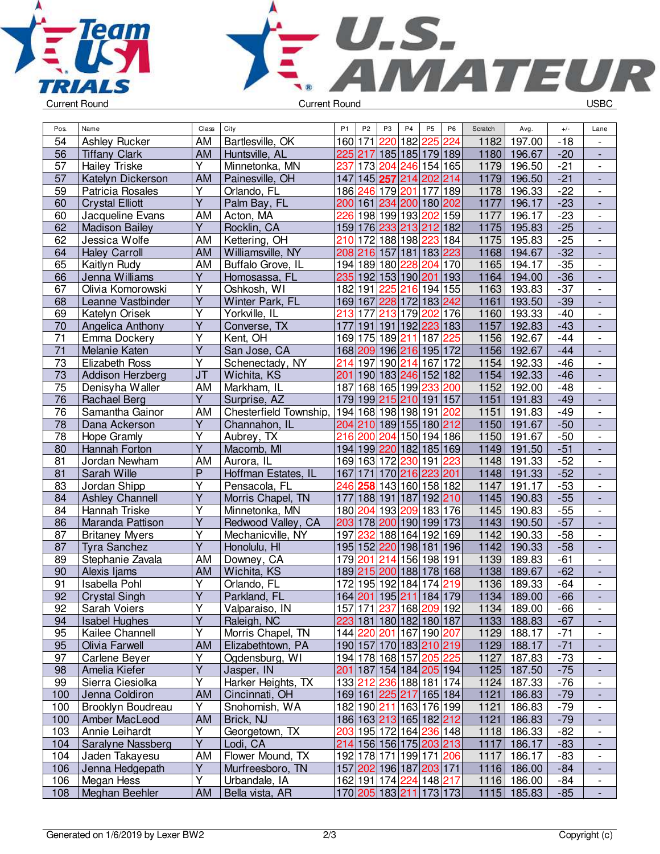



| Pos.            | Name                   | Class                   | City                   | P <sub>1</sub> | P <sub>2</sub> | P <sub>3</sub>                                        | P <sub>4</sub>  | P <sub>5</sub>        | P <sub>6</sub> | Scratch | Avg.          | $+/-$ | Lane                     |
|-----------------|------------------------|-------------------------|------------------------|----------------|----------------|-------------------------------------------------------|-----------------|-----------------------|----------------|---------|---------------|-------|--------------------------|
| 54              | <b>Ashley Rucker</b>   | <b>AM</b>               | Bartlesville, OK       |                | 160 171        | 220                                                   | 182             | $\overline{225}$      | 224            | 1182    | 197.00        | $-18$ | $\overline{\phantom{a}}$ |
| 56              | <b>Tiffany Clark</b>   | <b>AM</b>               | Huntsville, AL         |                | 225 217        |                                                       | 185 185 179 189 |                       |                | 1180    | 196.67        | $-20$ | $\overline{a}$           |
| 57              | <b>Hailey Triske</b>   | $\overline{Y}$          | Minnetonka, MN         | 237            |                | 173 204 246 154 165                                   |                 |                       |                | 1179    | 196.50        | $-21$ | $\blacksquare$           |
| 57              | Katelyn Dickerson      | AM                      | Painesville, OH        | 147            |                | 145 257 214 202 214                                   |                 |                       |                | 1179    | 196.50        | $-21$ | ÷,                       |
| 59              | Patricia Rosales       | Y                       | Orlando, FL            |                |                | 186 246 179 201                                       |                 | 177                   | 189            | 1178    | 196.33        | $-22$ | $\overline{a}$           |
| 60              | <b>Crystal Elliott</b> | $\overline{Y}$          | Palm Bay, FL           |                |                | 200 161 234 200 180 202                               |                 |                       |                | 1177    | 196.17        | $-23$ | $\blacksquare$           |
| 60              | Jacqueline Evans       | AM                      | Acton, MA              | 226            |                | 198 199 193                                           |                 | 202 159               |                | 1177    | 196.17        | $-23$ | $\overline{\phantom{0}}$ |
| 62              | <b>Madison Bailey</b>  | Y                       | Rocklin, CA            |                |                | 159 176 233 213 212 182                               |                 |                       |                | 1175    | 195.83        | $-25$ | $\overline{a}$           |
| 62              | Jessica Wolfe          | AM                      | Kettering, OH          | 210            |                | 172 188 198 223                                       |                 |                       | 184            | 1175    | 195.83        | $-25$ | $\frac{1}{2}$            |
| 64              | <b>Haley Carroll</b>   | <b>AM</b>               | Williamsville, NY      |                |                | 208 216 157                                           | 181 183 223     |                       |                | 1168    | 194.67        | $-32$ |                          |
| 65              | Kaitlyn Rudy           | AM                      | Buffalo Grove, IL      |                |                | 194 189 180 228 204 170                               |                 |                       |                | 1165    | 194.17        | $-35$ | $\frac{1}{2}$            |
| 66              | Jenna Williams         | $\overline{\mathsf{Y}}$ | Homosassa, FL          |                |                | 235 192 153 190 201                                   |                 |                       | 193            | 1164    | 194.00        | $-36$ | L,                       |
| 67              | Olivia Komorowski      | Υ                       | Oshkosh, WI            |                | 182 191        | 225 216 194 155                                       |                 |                       |                | 1163    | 193.83        | $-37$ | $\overline{\phantom{a}}$ |
| 68              | Leanne Vastbinder      | $\overline{Y}$          | Winter Park, FL        |                | 169 167        |                                                       | 228 172 183 242 |                       |                | 1161    | 193.50        | $-39$ | $\Box$                   |
| 69              | Katelyn Orisek         | Y                       | Yorkville, IL          | 213            | 177            | 213                                                   | 179             | 202                   | 176            | 1160    | 193.33        | $-40$ | $\overline{\phantom{a}}$ |
| 70              | Angelica Anthony       | Y                       | Converse, TX           | 177            |                | 191 191 192 223 183                                   |                 |                       |                | 1157    | 192.83        | $-43$ | $\overline{a}$           |
| 71              | Emma Dockery           | Υ                       | Kent, OH               |                |                | 169 175 189 211                                       |                 | 187                   | 225            | 1156    | 192.67        | $-44$ | $\overline{\phantom{0}}$ |
| $\overline{71}$ | Melanie Katen          | $\overline{\mathsf{Y}}$ | San Jose, CA           |                |                | 168 209 196 216 195 172                               |                 |                       |                | 1156    | 192.67        | $-44$ | $\overline{\phantom{a}}$ |
| 73              | <b>Elizabeth Ross</b>  | $\overline{\mathsf{Y}}$ | Schenectady, NY        | 214            |                | 197 190 214                                           |                 | 167 172               |                | 1154    | 192.33        | $-46$ | $\blacksquare$           |
| 73              | Addison Herzberg       | <b>JT</b>               | Wichita, KS            | 201            |                | 190 183 246 152 182                                   |                 |                       |                | 1154    | 192.33        | $-46$ | $\frac{1}{2}$            |
| 75              | Denisyha Waller        | AM                      | Markham, IL            | 187            |                | 168 165 199 233 200                                   |                 |                       |                | 1152    | 192.00        | $-48$ | $\frac{1}{2}$            |
| 76              | Rachael Berg           | $\overline{Y}$          | Surprise, AZ           |                |                | 179 199 215 210 191                                   |                 |                       | 157            | 1151    | 191.83        | $-49$ | $\overline{a}$           |
| 76              | Samantha Gainor        | AM                      | Chesterfield Township, |                |                | 194 168 198 198 191 202                               |                 |                       |                | 1151    | 191.83        | $-49$ | $\Box$                   |
| 78              | Dana Ackerson          | $\overline{Y}$          | Channahon, IL          |                |                | 204 210 189 155 180 212                               |                 |                       |                | 1150    | 191.67        | $-50$ | $\Box$                   |
| 78              | Hope Gramly            | Y                       | Aubrey, TX             | 216            | 200            | 204                                                   |                 | 150 194 186           |                | 1150    | 191.67        | $-50$ | $\overline{\phantom{a}}$ |
| 80              | Hannah Forton          | Y                       | Macomb, MI             |                |                | 194 199 220 182 185 169                               |                 |                       |                | 1149    | 191.50        | $-51$ | $\overline{a}$           |
| 81              | Jordan Newham          | <b>AM</b>               | Aurora, IL             |                |                | 169 163 172 230 191                                   |                 |                       | 223            | 1148    | 191.33        | $-52$ | $\overline{\phantom{a}}$ |
| $\overline{81}$ | Sarah Wille            | $\overline{P}$          | Hoffman Estates, IL    | 167            |                | 171 170 216 223 201                                   |                 |                       |                | 1148    | 191.33        | $-52$ | $\overline{\phantom{a}}$ |
| 83              | Jordan Shipp           | $\overline{Y}$          | Pensacola, FL          | 246            |                | 258 143 160 158 182                                   |                 |                       |                | 1147    | 191.17        | $-53$ | $\overline{\phantom{0}}$ |
| 84              | <b>Ashley Channell</b> | $\overline{\mathsf{Y}}$ | Morris Chapel, TN      | 177            |                | 188 191 187                                           |                 | 192 210               |                | 1145    | 190.83        | $-55$ | $\frac{1}{2}$            |
| 84              | Hannah Triske          | Ÿ                       | Minnetonka, MN         |                |                | 180 204 193 209                                       |                 | 183 176               |                | 1145    | 190.83        | $-55$ | $\frac{1}{2}$            |
| 86              | Maranda Pattison       | $\overline{\mathsf{Y}}$ | Redwood Valley, CA     |                |                | 203 178 200 190 199 173                               |                 |                       |                | 1143    | 190.50        | $-57$ |                          |
| 87              | <b>Britaney Myers</b>  | Y                       | Mechanicville, NY      | 197            | 232            |                                                       | 188 164         | $\overline{192}$  169 |                | 1142    | 190.33        | $-58$ | $\blacksquare$           |
| 87              | Tyra Sanchez           | $\overline{Y}$          | Honolulu, HI           |                |                | 195 152 220 198 181 196                               |                 |                       |                | 1142    | 190.33        | $-58$ | $\Box$                   |
| 89              | Stephanie Zavala       | AM                      | Downey, CA             |                | 179 201        | 214                                                   |                 | 156 198 191           |                | 1139    | 189.83        | $-61$ | $\blacksquare$           |
| 90              | Alexis Ijams           | AM                      | Wichita, KS            |                |                | 189215200188178168                                    |                 |                       |                | 1138    | 189.67        | $-62$ | ÷,                       |
| 91              | <b>Isabella Pohl</b>   | Υ                       | Orlando, FL            | 172            |                | 195 192                                               | 184             | 174                   | 219            | 1136    | 189.33        | $-64$ | $\overline{\phantom{a}}$ |
| $\overline{92}$ | <b>Crystal Singh</b>   | $\overline{Y}$          | Parkland, FL           |                |                | 164 201 195 211 184 179                               |                 |                       |                | 1134    | 189.00        | $-66$ |                          |
| 92              | Sarah Voiers           | Y                       | Valparaiso, IN         |                |                | 157 171  <mark>237</mark>  168  <mark>209</mark>  192 |                 |                       |                |         | 1134   189.00 | -66   | -                        |
| 94              | <b>Isabel Hughes</b>   | Y                       | Raleigh, NC            |                |                | 223 181 180 182 180 187                               |                 |                       |                |         | 1133 188.83   | $-67$ | $\overline{\phantom{a}}$ |
| 95              | Kailee Channell        | Υ                       | Morris Chapel, TN      |                |                | 144 220 201 167 190 207                               |                 |                       |                |         | 1129 188.17   | $-71$ | $\overline{\phantom{a}}$ |
| 95              | Olivia Farwell         | <b>AM</b>               | Elizabethtown, PA      |                |                | 190 157 170 183 210 219                               |                 |                       |                |         | 1129 188.17   | $-71$ |                          |
| 97              | Carlene Beyer          | $\overline{\mathsf{Y}}$ | Ogdensburg, WI         |                |                | 194 178 168 157 205 225                               |                 |                       |                | 1127    | 187.83        | $-73$ | $\overline{\phantom{0}}$ |
| 98              | Amelia Kiefer          | Y                       | Jasper, IN             |                |                | 201 187 154 184 205 194                               |                 |                       |                |         | 1125 187.50   | $-75$ | $\overline{\phantom{a}}$ |
| 99              | Sierra Ciesiolka       | Υ                       | Harker Heights, TX     |                |                | 133 212 236 188 181 174                               |                 |                       |                | 1124    | 187.33        | $-76$ | $\overline{\phantom{0}}$ |
| 100             | Jenna Coldiron         | <b>AM</b>               | Cincinnati, OH         |                |                | 169 161 225 217 165 184                               |                 |                       |                | 1121    | 186.83        | $-79$ | $\overline{\phantom{a}}$ |
| 100             | Brooklyn Boudreau      | Υ                       | Snohomish, WA          |                |                | 182 190 211 163 176 199                               |                 |                       |                | 1121    | 186.83        | $-79$ | $\overline{\phantom{0}}$ |
| 100             | Amber MacLeod          | <b>AM</b>               | Brick, NJ              |                |                | 186 163 213 165 182 212                               |                 |                       |                | 1121    | 186.83        | $-79$ | $\overline{\phantom{0}}$ |
| 103             | Annie Leihardt         | Υ                       | Georgetown, TX         |                |                | 203 195 172 164 236 148                               |                 |                       |                |         | 1118 186.33   | $-82$ | $\qquad \qquad -$        |
| 104             | Saralyne Nassberg      | $\overline{Y}$          | Lodi, CA               |                |                | 214 156 156 175 203 213                               |                 |                       |                | 1117    | 186.17        | $-83$ | $\overline{\phantom{a}}$ |
| 104             | Jaden Takayesu         | AM                      | Flower Mound, TX       |                |                | 192 178 171 199 171 206                               |                 |                       |                | 1117    | 186.17        | $-83$ | $\overline{\phantom{0}}$ |
| 106             | Jenna Hedgepath        | Y                       | Murfreesboro, TN       |                |                | 157 202 196 187 203 171                               |                 |                       |                |         | 1116 186.00   | $-84$ |                          |
| 106             | Megan Hess             | $\overline{\mathsf{Y}}$ | Urbandale, IA          |                |                | 162 191 174 224 148 217                               |                 |                       |                |         | 1116 186.00   | $-84$ | $\overline{\phantom{0}}$ |
| 108             | Meghan Beehler         | AM                      | Bella vista, AR        |                |                | 170 205 183 211 173 173                               |                 |                       |                |         | 1115 185.83   | $-85$ | $\overline{\phantom{a}}$ |